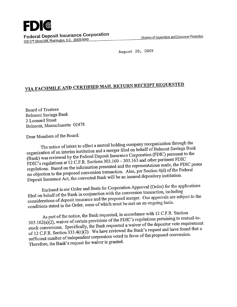**FDIC Federal Deposit Insurance Corporation**  Federal Deposit Insulative Corporation<br>550 17<sup>th</sup> Street NW, Washington, D.C. 20429-9990

August 20, 2009

# **VIA FACSIMILE AND CERTIFIED MAIL RETURN RECEIPT REQUESTED**

**Board of Trustees** Belmont Savings Bank 2 Leonard Street Belmont, Massachusetts 02478

Dear Members of the Board:

The notice of intent to effect a mutual holding company reorganization through the organization of an interim institution and a merger filed on behalf of Belmont Savings Bank (Bank) was reviewed by the Federal Deposit Insurance Corporation (FDIC) pursuant to the FDIC's regulations at 12 C.F.R. Sections 303.160 - 303.163 and other pertinent FDIC regulations. Based on the information presented and the representations made, the FDIC poses no objection to the proposed conversion transaction. Also, per Section 4(d) of the Federal Deposit Insurance Act, the converted Bank will be an insured depository institution.

Enclosed is our Order and Basis for Corporation Approval (Order) for the applications filed on behalf of the Bank in conjunction with the conversion transaction, including considerations of deposit insurance and the proposed merger. Our approvals are subject to the conditions stated in the Order, some of which must be met on an ongoing basis.

As part of the notice, the Bank requested, in accordance with 12 C.F.R. Section 303.162(a)(2), waiver of certain provisions of the FDIC's regulations pertaining to mutual-tostock conversions. Specifically, the Bank requested a waiver of the depositor vote requirement f 12 C.F.R. Section 333.4(c)(2). We have reviewed the Bank's request and have found that a sufficient number of independent corporators voted in favor of the proposed conversion. Therefore, the Bank's request for waiver is granted.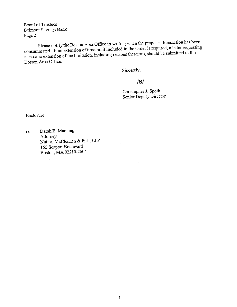Board of Trustees Belmont Savings Bank Page 2

Please notify the Boston Area Office in writing when the proposed transaction has been consummated. If an extension of time limit included in the Order is required, a letter requesting aspecific extension of the limitation, including reasons therefore, should be submitted to the Boston Area Office.

 $\mathcal{L}$ 

Sinesrely,

## **/S/**

Christopher J. Spoth Senior Deputy Director

 $\bar{z}$ 

Enclosure

Darah E. Manning cc: Attorney Nutter, McClennen & Fish, LLP 155 Seaport Boulevard Boston, MA 02210-2604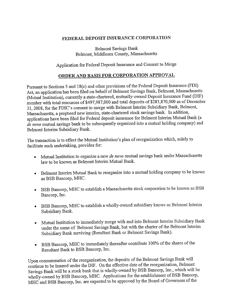#### **FEDERAL DEPOSIT INSURANCE CORPORATION**

Belmont Savings Bank Belmont, Middlesex County, Massachusetts

## Application for Federal Deposit Insurance and Consent to Merge

## **ORDER AND BASIS FOR CORPORATION APPROVAL**

Pursuant to Sections *5* and 18(c) and other provisions of the Federal Deposit Insurance (FDI) Act, an application has been filed on behalf of Belmont Savings Bank, Belmont, Massachusetts (Mutual Institution), currently a state-chartered, mutually-owned Deposit Insurance Fund (DIP) member with total resources of \$497,987,000 and total deposits of \$283,870,000 as of December 31, 2008, for the FDIC's consent to merge with Belmont Interim Subsidiary Bank, Belmont, Massachusetts, a propbsed new interim, state-chartered stock savings bank. In addition, applications have been filed for Federal deposit insurance for Belmont Interim Mutual Bank (a *de novo* mutual savings bank to be subsequently organized into a mutual holding company) and Belmont Interim Subsidiary Bank.

The transaction is to effect the Mutual Institution's plan of reorganization which, solely to facilitate such undertaking, provides for:

- Ł Mutual Institution to organize a new *de novo* mutual savings bank under Massachusetts law to be known as Belmont Interim Mutual Bank.
- Belmont Interim Mutual Bank to reorganize into a mutual holding company to be known as BSB Bancorp, MHC.
- BSB Bancorp, MHC to establish a Massachusetts stock corporation to be known as BSB Bancorp, Inc.
- BSB Bancorp, MHC to establish a wholly-owned subsidiary knows as Belmont Interim Subsidiary Bank.
- Mutual Institution to immediately merge with and into Belmont Interim Subsidiary Bank under the name of Belmont Savings Bank, but with the charter of the Belmont Interim Subsidiary Bank surviving (Resultant Bank or Belmont Savings Bank).
- BSB Bancorp, MHC to immediately thereafter contribute 100% of the shares of the Resultant Bank to BSB Bancorp, Inc.

Upon consummation of the reorganization, the deposits of the Belmont Savings Bank will continue to be insured under the DIF. On the effective date of the reorganization, Belmont Savings Bank will be a stock bank that is wholly-owned by BSB Bancorp, Inc., which will be wholly-owned by BSB Bancorp, MHC. Applications for the establishment of BSB Bancorp, MIHC and BSB Bancorp, Inc. are expected to be approved by the Board of Governors of the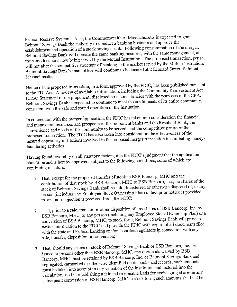Federal Reserve System. Also, the Commonwealth of Massachusetts is expected to grant Belmont Savings Bank the authority to conduct a banking business and approve the establishment and operation of a stock savings bank. Following consummation of the merger, Belmont Savings Bank will operate the same banking business, with the same management, at the same locations now being served by the Mutual Institution. The proposed transaction, per se, will not alter the competitive structure of banking in the market served by the Mutual Institution. Belmont Savings Bank's main office will continue to be located at 2 Leonard Street, Belmont, Massachusetts.

Notice of the proposed transaction, in a form approved by the FDIC, has been published pursuant to the FDI Act. A review of available information, including the Community Reinvestment Act (CRA) Statement of the proponent, disclosed no inconsistencies with the purposes of the CRA. Belmont Savings Bank is expected to continue to meet the credit needs of its entire community, consistent with the safe and sound operation of the institution.

In connection with the merger application, the FDIC has taken into consideration the financial and managerial resources and prospects of the proponent banks and the Resultant Bank, the convenience and needs of the community to be served, and the competitive nature of the proposed transaction. The FDIC has also taken into consideration the effectiveness of the insured depository institutions involved in the proposed merger transaction in combating moneylaundering activities.

Having found favorably on all statutory factors, it is the FDIC's judgment that the application should be and is hereby approved, subject to the following conditions, some of which are continuing in nature:

- 1. That, except for the proposed transfer of stock to BSB Bancorp, MHC and the contribution of that stock by BSB Bancorp, MHC to BSB Bancorp, Inc., no shares of the stock of Belmont Savings Bank shall be sold, transferred or otherwise disposed of, to any person (including any Employee Stock Ownership Plan) unless prior notice is provided to, and non-objection is received from, the FDIC;
- 2: That, prior to a sale, transfer or other disposition of any shares of BSB Bancorp, Inc. by BSB Bancorp, MHC, to any person (including any Employee Stock Ownership Plan) or a conversion of BSB Bancorp, MHC, to stock form, Belmont Savings Bank will provide written notification to the FDIC and provide the FDIC with copies of all documents filed with the state and Federal banking and/or securities regulators in connection with any sale, transfer, disposition or conversion;
- That, should any shares of stock of Belmont Savings Bank or BSB Bancorp, Inc. be issued to persons other than BSB Bancorp, MHC, any dividends waived by BSB Bancorp, MHC must be retained by **BSB** Bancorp, Inc. or Belmont Savings Bank and segregated, earmarked or otherwise identified on its books and records; such amounts must be taken into account in any valuation of the institution and factored into the calculation used in establishing a fair and reasonable basis for exchanging shares in any subsequent conversion of BSB Bancorp, MHC to stock form; such amounts shall not be